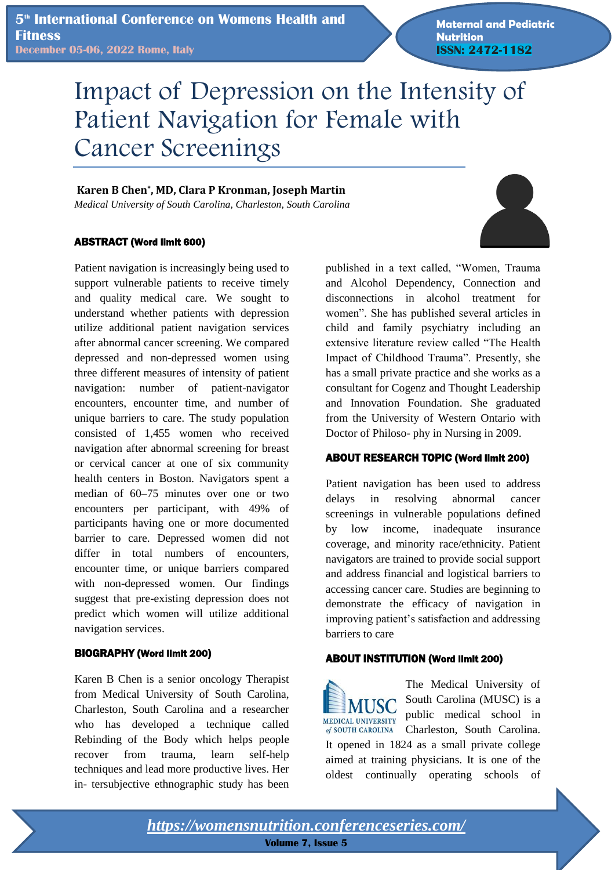**Maternal and Pediatric Nutrition ISSN: 2472-1182**

# Impact of Depression on the Intensity of Patient Navigation for Female with Cancer Screenings

#### **Karen B Chen\* , MD, Clara P Kronman, Joseph Martin**  *Medical University of South Carolina, Charleston, South Carolina*

ABSTRACT (Word limit 600)

Patient navigation is increasingly being used to support vulnerable patients to receive timely and quality medical care. We sought to understand whether patients with depression utilize additional patient navigation services after abnormal cancer screening. We compared depressed and non-depressed women using three different measures of intensity of patient navigation: number of patient-navigator encounters, encounter time, and number of unique barriers to care. The study population consisted of 1,455 women who received navigation after abnormal screening for breast or cervical cancer at one of six community health centers in Boston. Navigators spent a median of 60–75 minutes over one or two encounters per participant, with 49% of participants having one or more documented barrier to care. Depressed women did not differ in total numbers of encounters, encounter time, or unique barriers compared with non-depressed women. Our findings suggest that pre-existing depression does not predict which women will utilize additional navigation services.

#### BIOGRAPHY (Word limit 200)

Karen B Chen is a senior oncology Therapist from Medical University of South Carolina, Charleston, South Carolina and a researcher who has developed a technique called Rebinding of the Body which helps people recover from trauma, learn self-help techniques and lead more productive lives. Her in- tersubjective ethnographic study has been published in a text called, "Women, Trauma and Alcohol Dependency, Connection and disconnections in alcohol treatment for women". She has published several articles in child and family psychiatry including an extensive literature review called "The Health Impact of Childhood Trauma". Presently, she has a small private practice and she works as a consultant for Cogenz and Thought Leadership and Innovation Foundation. She graduated from the University of Western Ontario with Doctor of Philoso- phy in Nursing in 2009.

## ABOUT RESEARCH TOPIC (Word limit 200)

Patient navigation has been used to address delays in resolving abnormal cancer screenings in vulnerable populations defined by low income, inadequate insurance coverage, and minority race/ethnicity. Patient navigators are trained to provide social support and address financial and logistical barriers to accessing cancer care. Studies are beginning to demonstrate the efficacy of navigation in improving patient's satisfaction and addressing barriers to care

## ABOUT INSTITUTION (Word limit 200)

The Medical University of South Carolina (MUSC) is a **MUSC** public medical school in MEDICAL UNIVERSITY Charleston, South Carolina. of SOUTH CAROLINA It opened in 1824 as a small private college aimed at training physicians. It is one of the oldest continually operating schools of

*<https://womensnutrition.conferenceseries.com/>*

**Volume 7, Issue 5**